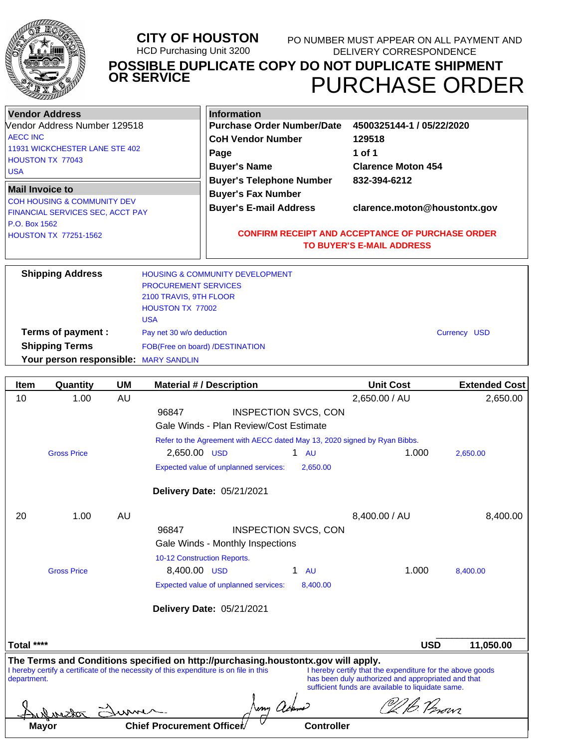

#### **CITY OF HOUSTON** HCD Purchasing Unit 3200 PURCHASE ORDER **POSSIBLE DUPLICATE COPY DO NOT DUPLICATE SHIPMENT OR SERVICE** PO NUMBER MUST APPEAR ON ALL PAYMENT AND DELIVERY CORRESPONDENCE

| <b>Vendor Address</b>                                                                                | <b>Information</b>                                                                            |                                                                            |  |
|------------------------------------------------------------------------------------------------------|-----------------------------------------------------------------------------------------------|----------------------------------------------------------------------------|--|
| Vendor Address Number 129518                                                                         | <b>Purchase Order Number/Date</b>                                                             | 4500325144-1 / 05/22/2020<br>129518<br>1 of 1<br><b>Clarence Moton 454</b> |  |
| <b>LAECC INC</b><br>11931 WICKCHESTER LANE STE 402<br><b>HOUSTON TX 77043</b><br><b>USA</b>          | <b>CoH Vendor Number</b><br>Page<br><b>Buyer's Name</b>                                       |                                                                            |  |
| <b>Mail Invoice to</b><br><b>COH HOUSING &amp; COMMUNITY DEV</b><br>FINANCIAL SERVICES SEC, ACCT PAY | <b>Buyer's Telephone Number</b><br><b>Buyer's Fax Number</b><br><b>Buyer's E-mail Address</b> | 832-394-6212<br>clarence.moton@houstontx.gov                               |  |
| P.O. Box 1562<br>HOUSTON TX 77251-1562                                                               | <b>CONFIRM RECEIPT AND ACCEPTANCE OF PURCHASE ORDER</b><br><b>TO BUYER'S E-MAIL ADDRESS</b>   |                                                                            |  |
| <b>Shipping Address</b>                                                                              | <b>HOUSING &amp; COMMUNITY DEVELOPMENT</b><br><b>PROCUREMENT SERVICES</b>                     |                                                                            |  |

|                                       | <b>PRUUUREMENI SERVIUES</b>     |              |
|---------------------------------------|---------------------------------|--------------|
|                                       | 2100 TRAVIS, 9TH FLOOR          |              |
|                                       | HOUSTON TX 77002                |              |
|                                       | <b>USA</b>                      |              |
| Terms of payment :                    | Pay net 30 w/o deduction        | Currency USD |
| <b>Shipping Terms</b>                 | FOB(Free on board) /DESTINATION |              |
| Your person responsible: MARY SANDLIN |                                 |              |

| <b>Item</b>                                                                                                                                                                                                                                                                                                                                                        | Quantity                                                                  | <b>UM</b> | <b>Material #/ Description</b>                        | <b>Unit Cost</b> | <b>Extended Cost</b> |  |
|--------------------------------------------------------------------------------------------------------------------------------------------------------------------------------------------------------------------------------------------------------------------------------------------------------------------------------------------------------------------|---------------------------------------------------------------------------|-----------|-------------------------------------------------------|------------------|----------------------|--|
| 10                                                                                                                                                                                                                                                                                                                                                                 | 1.00                                                                      | AU        |                                                       | 2,650.00 / AU    | 2,650.00             |  |
|                                                                                                                                                                                                                                                                                                                                                                    |                                                                           |           | <b>INSPECTION SVCS, CON</b><br>96847                  |                  |                      |  |
|                                                                                                                                                                                                                                                                                                                                                                    |                                                                           |           | Gale Winds - Plan Review/Cost Estimate                |                  |                      |  |
|                                                                                                                                                                                                                                                                                                                                                                    | Refer to the Agreement with AECC dated May 13, 2020 signed by Ryan Bibbs. |           |                                                       |                  |                      |  |
|                                                                                                                                                                                                                                                                                                                                                                    | <b>Gross Price</b>                                                        |           | 2,650.00 USD<br>$1 \quad \text{AU}$                   | 1.000            | 2,650.00             |  |
|                                                                                                                                                                                                                                                                                                                                                                    |                                                                           |           | Expected value of unplanned services:<br>2,650.00     |                  |                      |  |
|                                                                                                                                                                                                                                                                                                                                                                    |                                                                           |           | Delivery Date: 05/21/2021                             |                  |                      |  |
| 20                                                                                                                                                                                                                                                                                                                                                                 | 1.00                                                                      | AU        |                                                       | 8,400.00 / AU    | 8,400.00             |  |
|                                                                                                                                                                                                                                                                                                                                                                    |                                                                           |           | <b>INSPECTION SVCS, CON</b><br>96847                  |                  |                      |  |
|                                                                                                                                                                                                                                                                                                                                                                    |                                                                           |           | Gale Winds - Monthly Inspections                      |                  |                      |  |
|                                                                                                                                                                                                                                                                                                                                                                    |                                                                           |           | 10-12 Construction Reports.                           |                  |                      |  |
|                                                                                                                                                                                                                                                                                                                                                                    | <b>Gross Price</b>                                                        |           | 8,400.00 USD<br>1.<br><b>AU</b>                       | 1.000            | 8,400.00             |  |
|                                                                                                                                                                                                                                                                                                                                                                    |                                                                           |           | 8,400.00<br>Expected value of unplanned services:     |                  |                      |  |
|                                                                                                                                                                                                                                                                                                                                                                    |                                                                           |           | Delivery Date: 05/21/2021                             |                  |                      |  |
| Total ****                                                                                                                                                                                                                                                                                                                                                         |                                                                           |           |                                                       | <b>USD</b>       | 11,050.00            |  |
| The Terms and Conditions specified on http://purchasing.houstontx.gov will apply.<br>I hereby certify a certificate of the necessity of this expenditure is on file in this<br>I hereby certify that the expenditure for the above goods<br>has been duly authorized and appropriated and that<br>department.<br>sufficient funds are available to liquidate same. |                                                                           |           |                                                       |                  |                      |  |
| Jenny achem<br>701631                                                                                                                                                                                                                                                                                                                                              |                                                                           |           |                                                       |                  |                      |  |
|                                                                                                                                                                                                                                                                                                                                                                    | Mayor                                                                     |           | <b>Chief Procurement Officer</b><br><b>Controller</b> |                  |                      |  |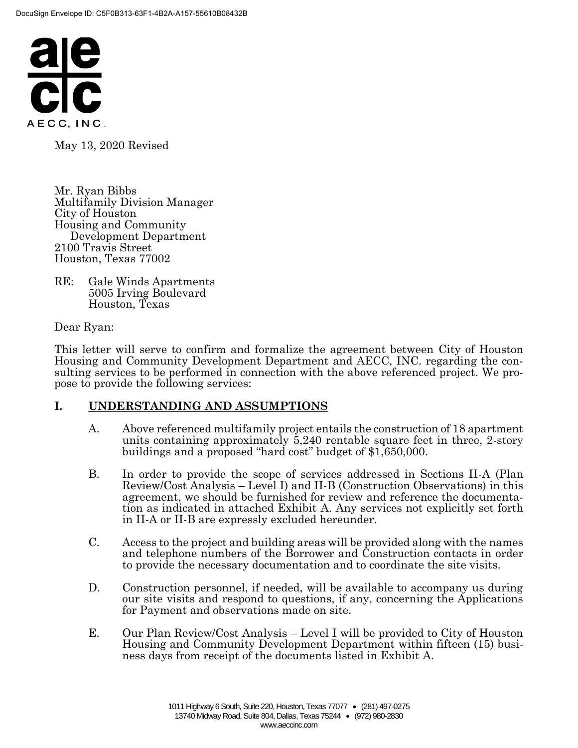

May 13, 2020 Revised

Mr. Ryan Bibbs Multifamily Division Manager City of Houston Housing and Community Development Department 2100 Travis Street Houston, Texas 77002

RE: Gale Winds Apartments 5005 Irving Boulevard Houston, Texas

Dear Ryan:

This letter will serve to confirm and formalize the agreement between City of Houston Housing and Community Development Department and AECC, INC. regarding the consulting services to be performed in connection with the above referenced project. We propose to provide the following services:

#### **I. UNDERSTANDING AND ASSUMPTIONS**

- A. Above referenced multifamily project entails the construction of 18 apartment units containing approximately 5,240 rentable square feet in three, 2-story buildings and a proposed "hard cost" budget of \$1,650,000.
- B. In order to provide the scope of services addressed in Sections II-A (Plan Review/Cost Analysis – Level I) and II-B (Construction Observations) in this agreement, we should be furnished for review and reference the documentation as indicated in attached Exhibit A. Any services not explicitly set forth in II-A or II-B are expressly excluded hereunder.
- C. Access to the project and building areas will be provided along with the names and telephone numbers of the Borrower and Construction contacts in order to provide the necessary documentation and to coordinate the site visits.
- D. Construction personnel, if needed, will be available to accompany us during our site visits and respond to questions, if any, concerning the Applications for Payment and observations made on site.
- E. Our Plan Review/Cost Analysis Level I will be provided to City of Houston Housing and Community Development Department within fifteen (15) business days from receipt of the documents listed in Exhibit A.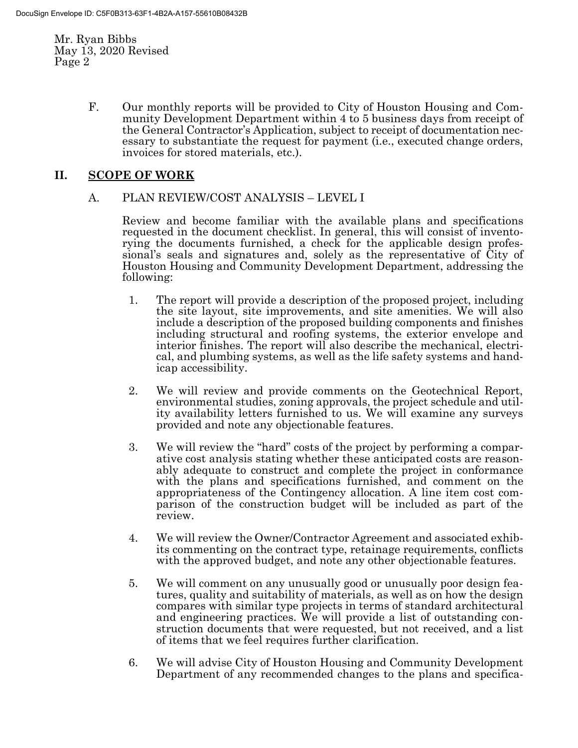> F. Our monthly reports will be provided to City of Houston Housing and Community Development Department within 4 to 5 business days from receipt of the General Contractor's Application, subject to receipt of documentation necessary to substantiate the request for payment (i.e., executed change orders, invoices for stored materials, etc.).

## **II. SCOPE OF WORK**

#### A. PLAN REVIEW/COST ANALYSIS – LEVEL I

Review and become familiar with the available plans and specifications requested in the document checklist. In general, this will consist of inventorying the documents furnished, a check for the applicable design professional's seals and signatures and, solely as the representative of City of Houston Housing and Community Development Department, addressing the following:

- 1. The report will provide a description of the proposed project, including the site layout, site improvements, and site amenities. We will also include a description of the proposed building components and finishes including structural and roofing systems, the exterior envelope and interior finishes. The report will also describe the mechanical, electrical, and plumbing systems, as well as the life safety systems and handicap accessibility.
- 2. We will review and provide comments on the Geotechnical Report, environmental studies, zoning approvals, the project schedule and utility availability letters furnished to us. We will examine any surveys provided and note any objectionable features.
- 3. We will review the "hard" costs of the project by performing a comparative cost analysis stating whether these anticipated costs are reasonably adequate to construct and complete the project in conformance with the plans and specifications furnished, and comment on the appropriateness of the Contingency allocation. A line item cost comparison of the construction budget will be included as part of the review.
- 4. We will review the Owner/Contractor Agreement and associated exhibits commenting on the contract type, retainage requirements, conflicts with the approved budget, and note any other objectionable features.
- 5. We will comment on any unusually good or unusually poor design features, quality and suitability of materials, as well as on how the design compares with similar type projects in terms of standard architectural and engineering practices. We will provide a list of outstanding construction documents that were requested, but not received, and a list of items that we feel requires further clarification.
- 6. We will advise City of Houston Housing and Community Development Department of any recommended changes to the plans and specifica-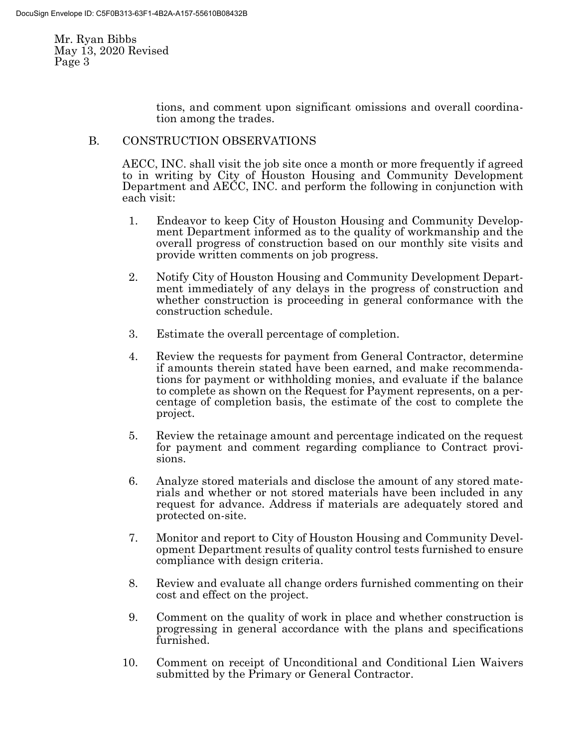> tions, and comment upon significant omissions and overall coordination among the trades.

## B. CONSTRUCTION OBSERVATIONS

AECC, INC. shall visit the job site once a month or more frequently if agreed to in writing by City of Houston Housing and Community Development Department and AECC, INC. and perform the following in conjunction with each visit:

- 1. Endeavor to keep City of Houston Housing and Community Development Department informed as to the quality of workmanship and the overall progress of construction based on our monthly site visits and provide written comments on job progress.
- 2. Notify City of Houston Housing and Community Development Department immediately of any delays in the progress of construction and whether construction is proceeding in general conformance with the construction schedule.
- 3. Estimate the overall percentage of completion.
- 4. Review the requests for payment from General Contractor, determine if amounts therein stated have been earned, and make recommendations for payment or withholding monies, and evaluate if the balance to complete as shown on the Request for Payment represents, on a percentage of completion basis, the estimate of the cost to complete the project.
- 5. Review the retainage amount and percentage indicated on the request for payment and comment regarding compliance to Contract provisions.
- 6. Analyze stored materials and disclose the amount of any stored materials and whether or not stored materials have been included in any request for advance. Address if materials are adequately stored and protected on-site.
- 7. Monitor and report to City of Houston Housing and Community Development Department results of quality control tests furnished to ensure compliance with design criteria.
- 8. Review and evaluate all change orders furnished commenting on their cost and effect on the project.
- 9. Comment on the quality of work in place and whether construction is progressing in general accordance with the plans and specifications furnished.
- 10. Comment on receipt of Unconditional and Conditional Lien Waivers submitted by the Primary or General Contractor.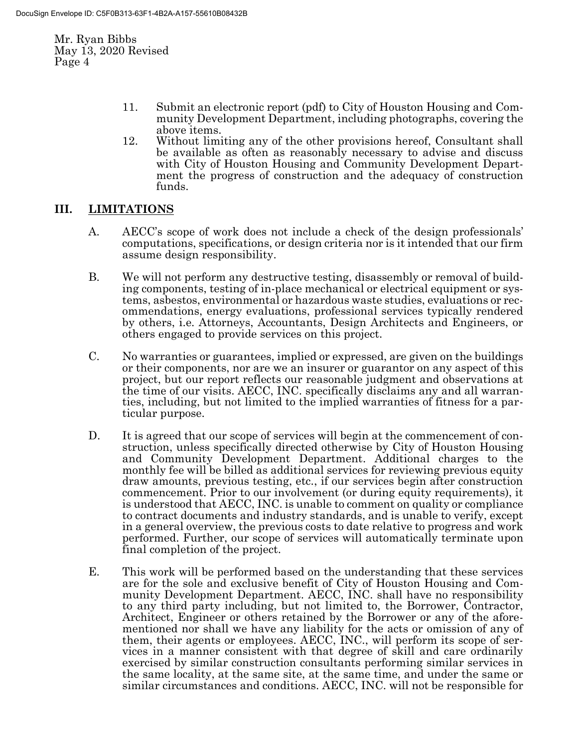- 11. Submit an electronic report (pdf) to City of Houston Housing and Community Development Department, including photographs, covering the above items.
- 12. Without limiting any of the other provisions hereof, Consultant shall be available as often as reasonably necessary to advise and discuss with City of Houston Housing and Community Development Department the progress of construction and the adequacy of construction funds.

## **III. LIMITATIONS**

- A. AECC's scope of work does not include a check of the design professionals' computations, specifications, or design criteria nor is it intended that our firm assume design responsibility.
- B. We will not perform any destructive testing, disassembly or removal of building components, testing of in-place mechanical or electrical equipment or systems, asbestos, environmental or hazardous waste studies, evaluations or recommendations, energy evaluations, professional services typically rendered by others, i.e. Attorneys, Accountants, Design Architects and Engineers, or others engaged to provide services on this project.
- C. No warranties or guarantees, implied or expressed, are given on the buildings or their components, nor are we an insurer or guarantor on any aspect of this project, but our report reflects our reasonable judgment and observations at the time of our visits. AECC, INC. specifically disclaims any and all warranties, including, but not limited to the implied warranties of fitness for a particular purpose.
- D. It is agreed that our scope of services will begin at the commencement of construction, unless specifically directed otherwise by City of Houston Housing and Community Development Department. Additional charges to the monthly fee will be billed as additional services for reviewing previous equity draw amounts, previous testing, etc., if our services begin after construction commencement. Prior to our involvement (or during equity requirements), it is understood that AECC, INC. is unable to comment on quality or compliance to contract documents and industry standards, and is unable to verify, except in a general overview, the previous costs to date relative to progress and work performed. Further, our scope of services will automatically terminate upon final completion of the project.
- E. This work will be performed based on the understanding that these services are for the sole and exclusive benefit of City of Houston Housing and Community Development Department. AECC, INC. shall have no responsibility to any third party including, but not limited to, the Borrower, Contractor, Architect, Engineer or others retained by the Borrower or any of the aforementioned nor shall we have any liability for the acts or omission of any of them, their agents or employees. AECC, INC., will perform its scope of services in a manner consistent with that degree of skill and care ordinarily exercised by similar construction consultants performing similar services in the same locality, at the same site, at the same time, and under the same or similar circumstances and conditions. AECC, INC. will not be responsible for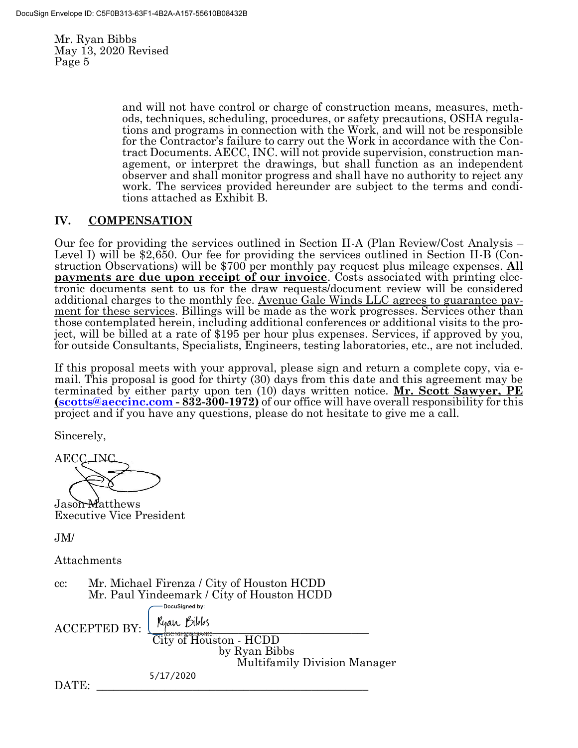> and will not have control or charge of construction means, measures, methods, techniques, scheduling, procedures, or safety precautions, OSHA regulations and programs in connection with the Work, and will not be responsible for the Contractor's failure to carry out the Work in accordance with the Contract Documents. AECC, INC. will not provide supervision, construction management, or interpret the drawings, but shall function as an independent observer and shall monitor progress and shall have no authority to reject any work. The services provided hereunder are subject to the terms and conditions attached as Exhibit B.

## **IV. COMPENSATION**

Our fee for providing the services outlined in Section II-A (Plan Review/Cost Analysis – Level I) will be \$2,650. Our fee for providing the services outlined in Section II-B (Construction Observations) will be \$700 per monthly pay request plus mileage expenses. **All payments are due upon receipt of our invoice**. Costs associated with printing electronic documents sent to us for the draw requests/document review will be considered additional charges to the monthly fee. Avenue Gale Winds LLC agrees to guarantee payment for these services. Billings will be made as the work progresses. Services other than those contemplated herein, including additional conferences or additional visits to the project, will be billed at a rate of \$195 per hour plus expenses. Services, if approved by you, for outside Consultants, Specialists, Engineers, testing laboratories, etc., are not included.

If this proposal meets with your approval, please sign and return a complete copy, via email. This proposal is good for thirty (30) days from this date and this agreement may be terminated by either party upon ten (10) days written notice. **Mr. Scott Sawyer, PE [\(scotts@aeccinc.com](mailto:scotts@aeccinc.com) - 832-300-1972)** of our office will have overall responsibility for this project and if you have any questions, please do not hesitate to give me a call.

Sincerely,

 ${\rm AECC}$ 

Jason Matthews Executive Vice President

JM/

Attachments

cc: Mr. Michael Firenza / City of Houston HCDD Mr. Paul Yindeemark / City of Houston HCDD DocuSigned by:

 $\text{ACCEPTED BY:}$   $\left\{\text{Kyan Hilbs}\right\}$ City of Houston - HCDD by Ryan Bibbs Multifamily Division Manager 5/17/2020

DATE: \_\_\_\_\_\_\_\_\_\_\_\_\_\_\_\_\_\_\_\_\_\_\_\_\_\_\_\_\_\_\_\_\_\_\_\_\_\_\_\_\_\_\_\_\_\_\_\_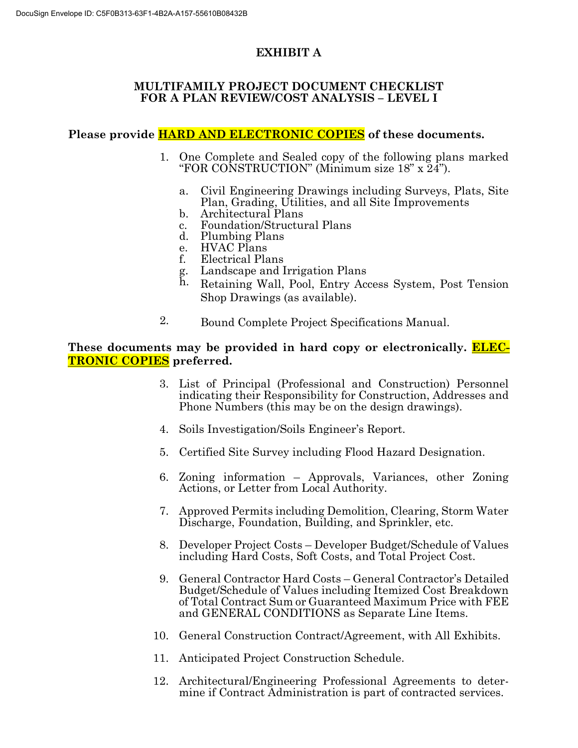# **EXHIBIT A**

## **MULTIFAMILY PROJECT DOCUMENT CHECKLIST FOR A PLAN REVIEW/COST ANALYSIS – LEVEL I**

# **Please provide HARD AND ELECTRONIC COPIES of these documents.**

- 1. One Complete and Sealed copy of the following plans marked "FOR CONSTRUCTION" (Minimum size 18" x 24").
	- a. Civil Engineering Drawings including Surveys, Plats, Site Plan, Grading, Utilities, and all Site Improvements
	- b. Architectural Plans
	- c. Foundation/Structural Plans
	- d. Plumbing Plans
	- e. HVAC Plans
	- f. Electrical Plans
	- g. Landscape and Irrigation Plans
	- h. Retaining Wall, Pool, Entry Access System, Post Tension Shop Drawings (as available).
- 2. Bound Complete Project Specifications Manual.

## **These documents may be provided in hard copy or electronically. ELEC-TRONIC COPIES preferred.**

- 3. List of Principal (Professional and Construction) Personnel indicating their Responsibility for Construction, Addresses and Phone Numbers (this may be on the design drawings).
- 4. Soils Investigation/Soils Engineer's Report.
- 5. Certified Site Survey including Flood Hazard Designation.
- 6. Zoning information Approvals, Variances, other Zoning Actions, or Letter from Local Authority.
- 7. Approved Permits including Demolition, Clearing, Storm Water Discharge, Foundation, Building, and Sprinkler, etc.
- 8. Developer Project Costs Developer Budget/Schedule of Values including Hard Costs, Soft Costs, and Total Project Cost.
- 9. General Contractor Hard Costs General Contractor's Detailed Budget/Schedule of Values including Itemized Cost Breakdown of Total Contract Sum or Guaranteed Maximum Price with FEE and GENERAL CONDITIONS as Separate Line Items.
- 10. General Construction Contract/Agreement, with All Exhibits.
- 11. Anticipated Project Construction Schedule.
- 12. Architectural/Engineering Professional Agreements to determine if Contract Administration is part of contracted services.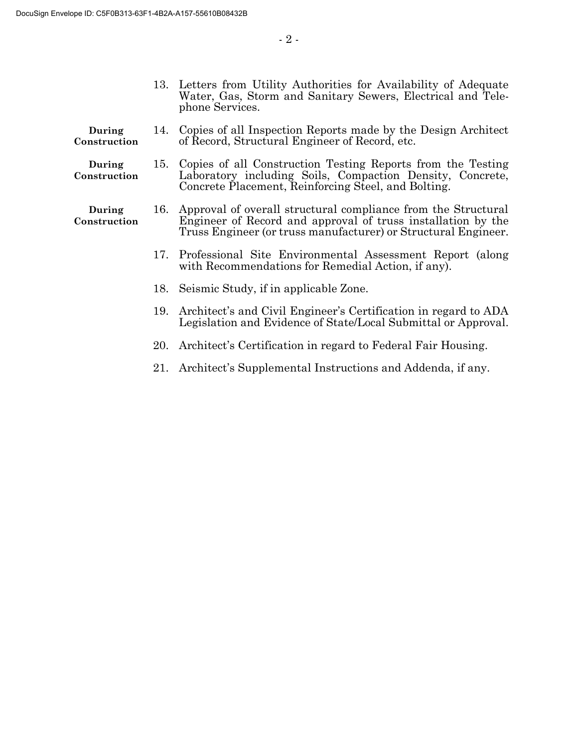- 13. Letters from Utility Authorities for Availability of Adequate Water, Gas, Storm and Sanitary Sewers, Electrical and Telephone Services.
- **During Construction** 14. Copies of all Inspection Reports made by the Design Architect of Record, Structural Engineer of Record, etc.
- **During Construction** 15. Copies of all Construction Testing Reports from the Testing Laboratory including Soils, Compaction Density, Concrete, Concrete Placement, Reinforcing Steel, and Bolting.
- **During Construction** 16. Approval of overall structural compliance from the Structural Engineer of Record and approval of truss installation by the Truss Engineer (or truss manufacturer) or Structural Engineer.
	- 17. Professional Site Environmental Assessment Report (along with Recommendations for Remedial Action, if any).
	- 18. Seismic Study, if in applicable Zone.
	- 19. Architect's and Civil Engineer's Certification in regard to ADA Legislation and Evidence of State/Local Submittal or Approval.
	- 20. Architect's Certification in regard to Federal Fair Housing.
	- 21. Architect's Supplemental Instructions and Addenda, if any.